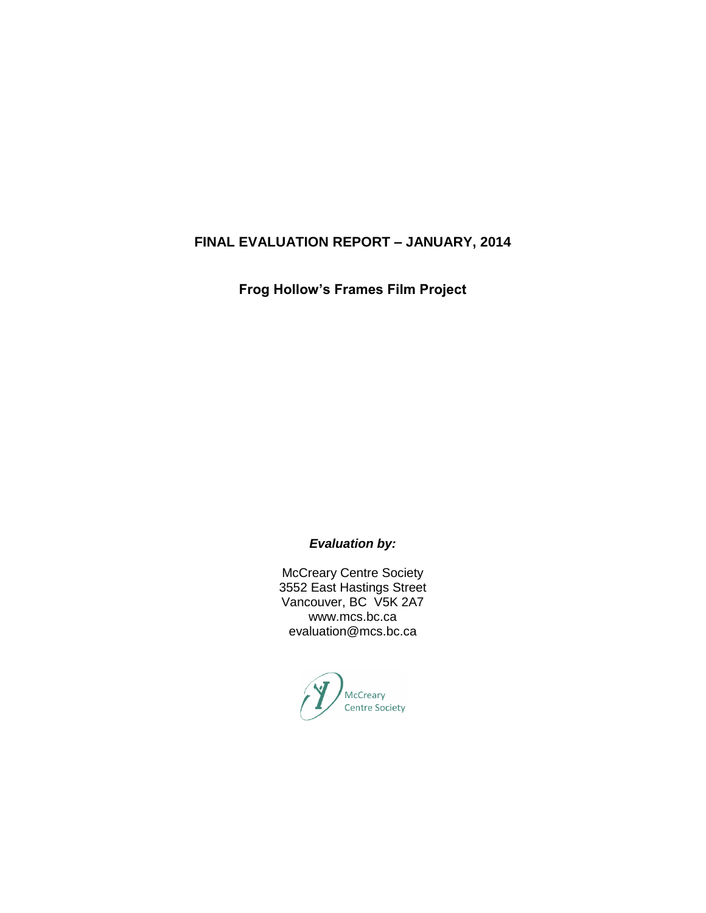## **FINAL EVALUATION REPORT – JANUARY, 2014**

**Frog Hollow's Frames Film Project**

*Evaluation by:*

McCreary Centre Society 3552 East Hastings Street Vancouver, BC V5K 2A7 www.mcs.bc.ca evaluation@mcs.bc.ca

McCreary<br>Centre Society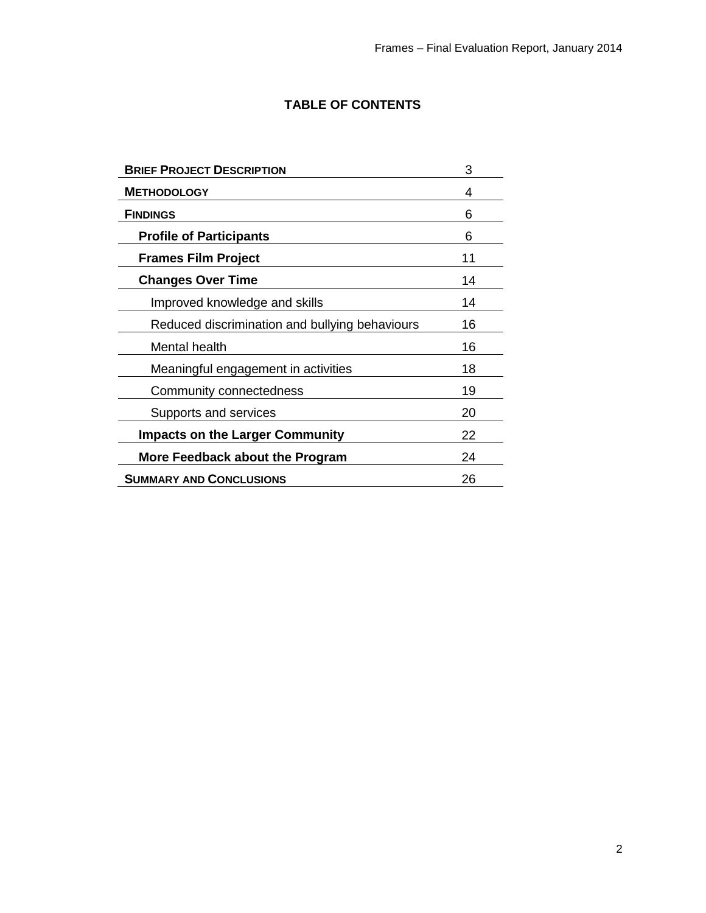# **TABLE OF CONTENTS**

| <b>BRIEF PROJECT DESCRIPTION</b>               | 3  |
|------------------------------------------------|----|
| <b>METHODOLOGY</b>                             | 4  |
| <b>FINDINGS</b>                                | 6  |
| <b>Profile of Participants</b>                 | 6  |
| <b>Frames Film Project</b>                     | 11 |
| <b>Changes Over Time</b>                       | 14 |
| Improved knowledge and skills                  | 14 |
| Reduced discrimination and bullying behaviours | 16 |
| Mental health                                  | 16 |
| Meaningful engagement in activities            | 18 |
| Community connectedness                        | 19 |
| Supports and services                          | 20 |
| <b>Impacts on the Larger Community</b>         | 22 |
| More Feedback about the Program                | 24 |
| <b>SUMMARY AND CONCLUSIONS</b>                 | 26 |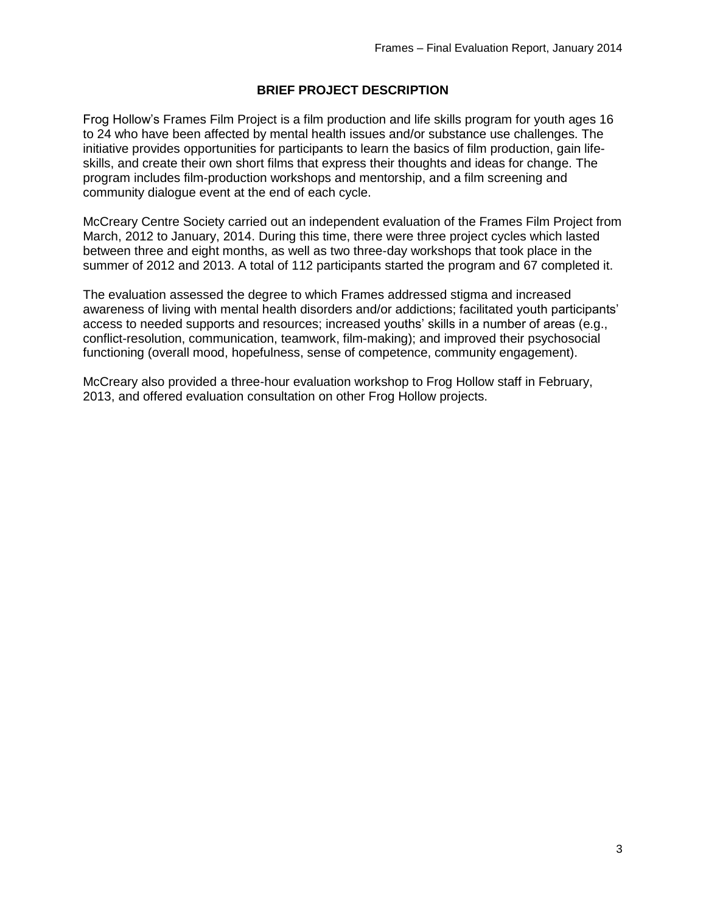## **BRIEF PROJECT DESCRIPTION**

Frog Hollow's Frames Film Project is a film production and life skills program for youth ages 16 to 24 who have been affected by mental health issues and/or substance use challenges. The initiative provides opportunities for participants to learn the basics of film production, gain lifeskills, and create their own short films that express their thoughts and ideas for change. The program includes film-production workshops and mentorship, and a film screening and community dialogue event at the end of each cycle.

McCreary Centre Society carried out an independent evaluation of the Frames Film Project from March, 2012 to January, 2014. During this time, there were three project cycles which lasted between three and eight months, as well as two three-day workshops that took place in the summer of 2012 and 2013. A total of 112 participants started the program and 67 completed it.

The evaluation assessed the degree to which Frames addressed stigma and increased awareness of living with mental health disorders and/or addictions; facilitated youth participants' access to needed supports and resources; increased youths' skills in a number of areas (e.g., conflict-resolution, communication, teamwork, film-making); and improved their psychosocial functioning (overall mood, hopefulness, sense of competence, community engagement).

McCreary also provided a three-hour evaluation workshop to Frog Hollow staff in February, 2013, and offered evaluation consultation on other Frog Hollow projects.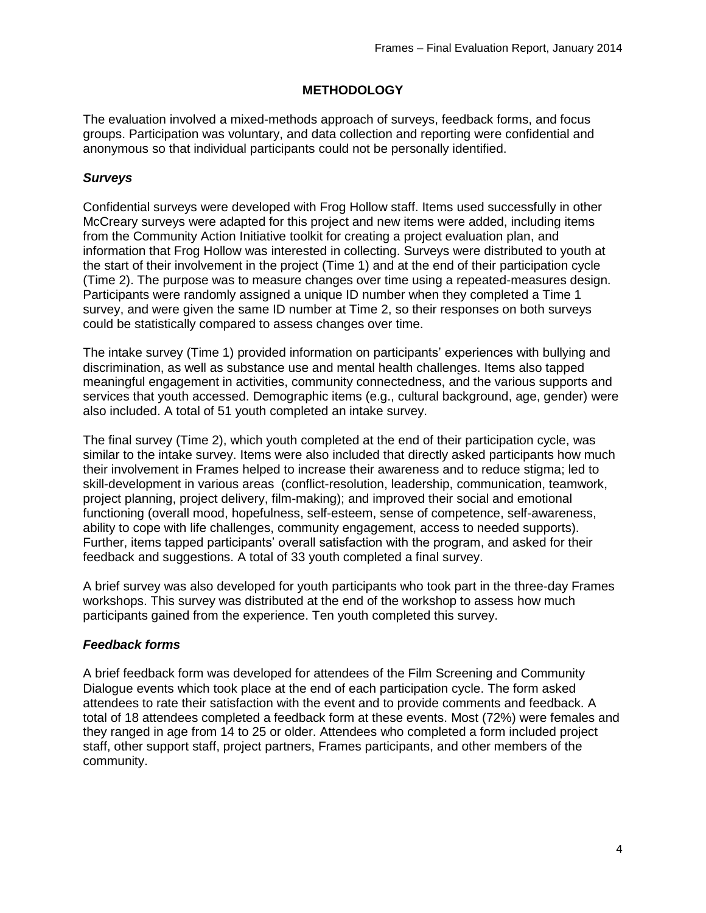## **METHODOLOGY**

The evaluation involved a mixed-methods approach of surveys, feedback forms, and focus groups. Participation was voluntary, and data collection and reporting were confidential and anonymous so that individual participants could not be personally identified.

## *Surveys*

Confidential surveys were developed with Frog Hollow staff. Items used successfully in other McCreary surveys were adapted for this project and new items were added, including items from the Community Action Initiative toolkit for creating a project evaluation plan, and information that Frog Hollow was interested in collecting. Surveys were distributed to youth at the start of their involvement in the project (Time 1) and at the end of their participation cycle (Time 2). The purpose was to measure changes over time using a repeated-measures design. Participants were randomly assigned a unique ID number when they completed a Time 1 survey, and were given the same ID number at Time 2, so their responses on both surveys could be statistically compared to assess changes over time.

The intake survey (Time 1) provided information on participants' experiences with bullying and discrimination, as well as substance use and mental health challenges. Items also tapped meaningful engagement in activities, community connectedness, and the various supports and services that youth accessed. Demographic items (e.g., cultural background, age, gender) were also included. A total of 51 youth completed an intake survey.

The final survey (Time 2), which youth completed at the end of their participation cycle, was similar to the intake survey. Items were also included that directly asked participants how much their involvement in Frames helped to increase their awareness and to reduce stigma; led to skill-development in various areas (conflict-resolution, leadership, communication, teamwork, project planning, project delivery, film-making); and improved their social and emotional functioning (overall mood, hopefulness, self-esteem, sense of competence, self-awareness, ability to cope with life challenges, community engagement, access to needed supports). Further, items tapped participants' overall satisfaction with the program, and asked for their feedback and suggestions. A total of 33 youth completed a final survey.

A brief survey was also developed for youth participants who took part in the three-day Frames workshops. This survey was distributed at the end of the workshop to assess how much participants gained from the experience. Ten youth completed this survey.

## *Feedback forms*

A brief feedback form was developed for attendees of the Film Screening and Community Dialogue events which took place at the end of each participation cycle. The form asked attendees to rate their satisfaction with the event and to provide comments and feedback. A total of 18 attendees completed a feedback form at these events. Most (72%) were females and they ranged in age from 14 to 25 or older. Attendees who completed a form included project staff, other support staff, project partners, Frames participants, and other members of the community.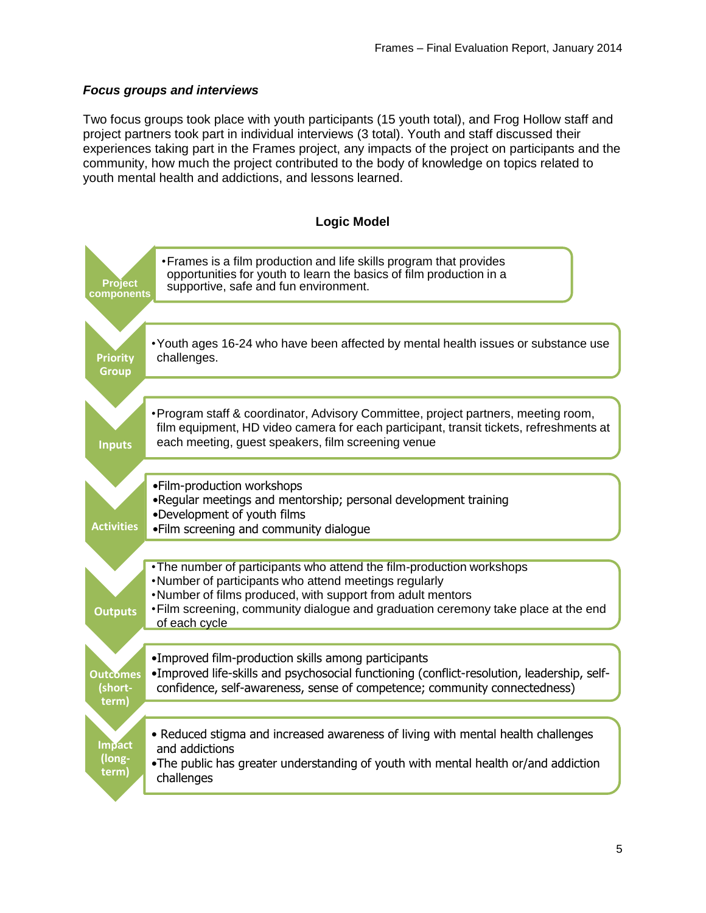## *Focus groups and interviews*

Two focus groups took place with youth participants (15 youth total), and Frog Hollow staff and project partners took part in individual interviews (3 total). Youth and staff discussed their experiences taking part in the Frames project, any impacts of the project on participants and the community, how much the project contributed to the body of knowledge on topics related to youth mental health and addictions, and lessons learned.

## **Logic Model**

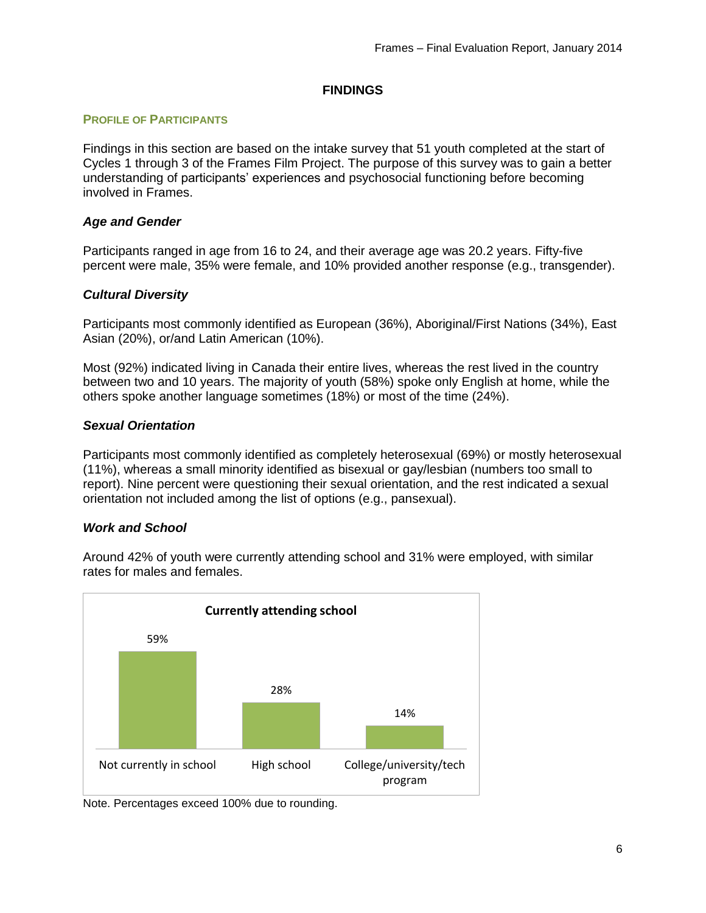## **FINDINGS**

#### **PROFILE OF PARTICIPANTS**

Findings in this section are based on the intake survey that 51 youth completed at the start of Cycles 1 through 3 of the Frames Film Project. The purpose of this survey was to gain a better understanding of participants' experiences and psychosocial functioning before becoming involved in Frames.

#### *Age and Gender*

Participants ranged in age from 16 to 24, and their average age was 20.2 years. Fifty-five percent were male, 35% were female, and 10% provided another response (e.g., transgender).

#### *Cultural Diversity*

Participants most commonly identified as European (36%), Aboriginal/First Nations (34%), East Asian (20%), or/and Latin American (10%).

Most (92%) indicated living in Canada their entire lives, whereas the rest lived in the country between two and 10 years. The majority of youth (58%) spoke only English at home, while the others spoke another language sometimes (18%) or most of the time (24%).

#### *Sexual Orientation*

Participants most commonly identified as completely heterosexual (69%) or mostly heterosexual (11%), whereas a small minority identified as bisexual or gay/lesbian (numbers too small to report). Nine percent were questioning their sexual orientation, and the rest indicated a sexual orientation not included among the list of options (e.g., pansexual).

#### *Work and School*



Around 42% of youth were currently attending school and 31% were employed, with similar rates for males and females.

Note. Percentages exceed 100% due to rounding.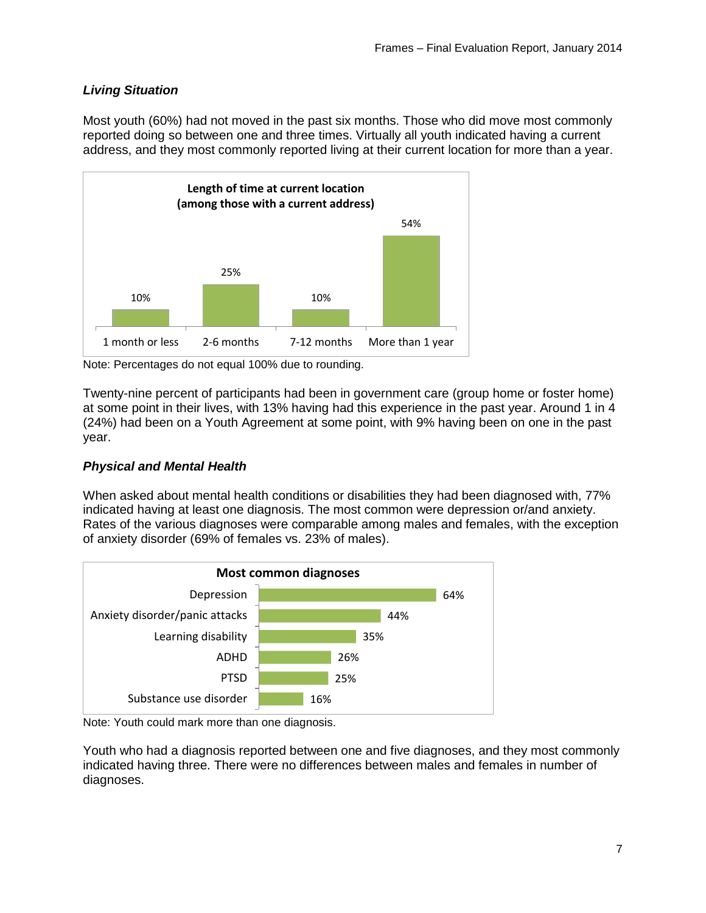# *Living Situation*

Most youth (60%) had not moved in the past six months. Those who did move most commonly reported doing so between one and three times. Virtually all youth indicated having a current address, and they most commonly reported living at their current location for more than a year.



Note: Percentages do not equal 100% due to rounding.

Twenty-nine percent of participants had been in government care (group home or foster home) at some point in their lives, with 13% having had this experience in the past year. Around 1 in 4 (24%) had been on a Youth Agreement at some point, with 9% having been on one in the past year.

## *Physical and Mental Health*

When asked about mental health conditions or disabilities they had been diagnosed with, 77% indicated having at least one diagnosis. The most common were depression or/and anxiety. Rates of the various diagnoses were comparable among males and females, with the exception of anxiety disorder (69% of females vs. 23% of males).



Note: Youth could mark more than one diagnosis.

Youth who had a diagnosis reported between one and five diagnoses, and they most commonly indicated having three. There were no differences between males and females in number of diagnoses.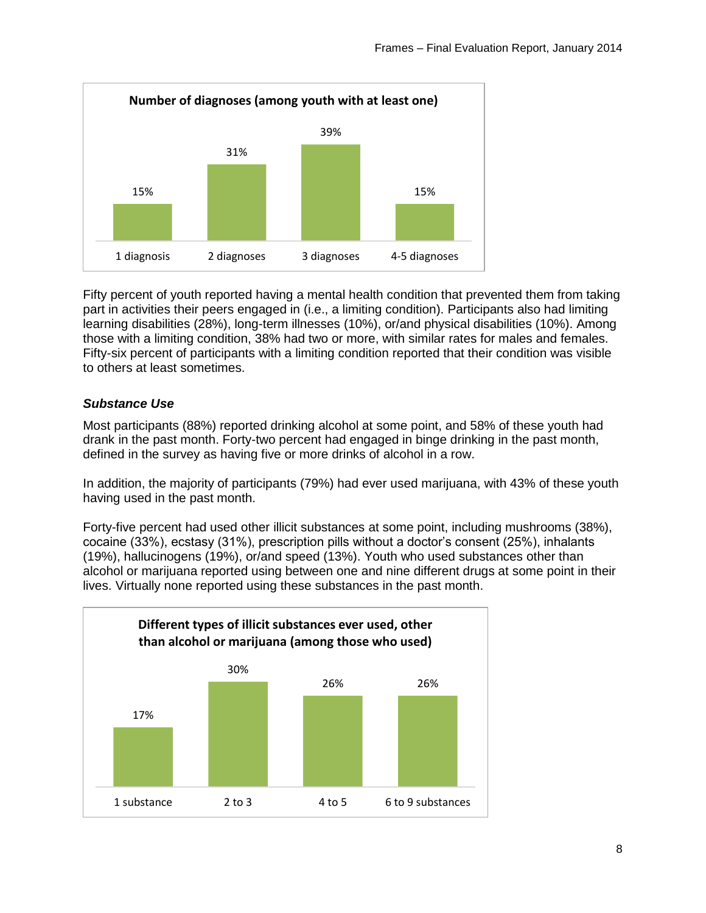

Fifty percent of youth reported having a mental health condition that prevented them from taking part in activities their peers engaged in (i.e., a limiting condition). Participants also had limiting learning disabilities (28%), long-term illnesses (10%), or/and physical disabilities (10%). Among those with a limiting condition, 38% had two or more, with similar rates for males and females. Fifty-six percent of participants with a limiting condition reported that their condition was visible to others at least sometimes.

## *Substance Use*

Most participants (88%) reported drinking alcohol at some point, and 58% of these youth had drank in the past month. Forty-two percent had engaged in binge drinking in the past month, defined in the survey as having five or more drinks of alcohol in a row.

In addition, the majority of participants (79%) had ever used marijuana, with 43% of these youth having used in the past month.

Forty-five percent had used other illicit substances at some point, including mushrooms (38%), cocaine (33%), ecstasy (31%), prescription pills without a doctor's consent (25%), inhalants (19%), hallucinogens (19%), or/and speed (13%). Youth who used substances other than alcohol or marijuana reported using between one and nine different drugs at some point in their lives. Virtually none reported using these substances in the past month.

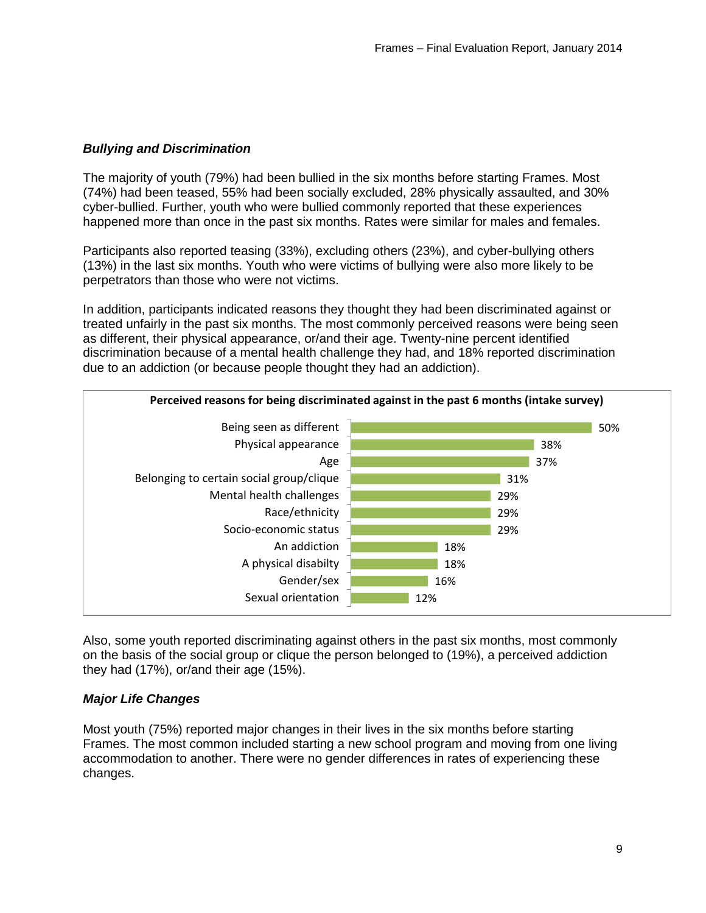## *Bullying and Discrimination*

The majority of youth (79%) had been bullied in the six months before starting Frames. Most (74%) had been teased, 55% had been socially excluded, 28% physically assaulted, and 30% cyber-bullied. Further, youth who were bullied commonly reported that these experiences happened more than once in the past six months. Rates were similar for males and females.

Participants also reported teasing (33%), excluding others (23%), and cyber-bullying others (13%) in the last six months. Youth who were victims of bullying were also more likely to be perpetrators than those who were not victims.

In addition, participants indicated reasons they thought they had been discriminated against or treated unfairly in the past six months. The most commonly perceived reasons were being seen as different, their physical appearance, or/and their age. Twenty-nine percent identified discrimination because of a mental health challenge they had, and 18% reported discrimination due to an addiction (or because people thought they had an addiction).



Also, some youth reported discriminating against others in the past six months, most commonly on the basis of the social group or clique the person belonged to (19%), a perceived addiction they had (17%), or/and their age (15%).

## *Major Life Changes*

Most youth (75%) reported major changes in their lives in the six months before starting Frames. The most common included starting a new school program and moving from one living accommodation to another. There were no gender differences in rates of experiencing these changes.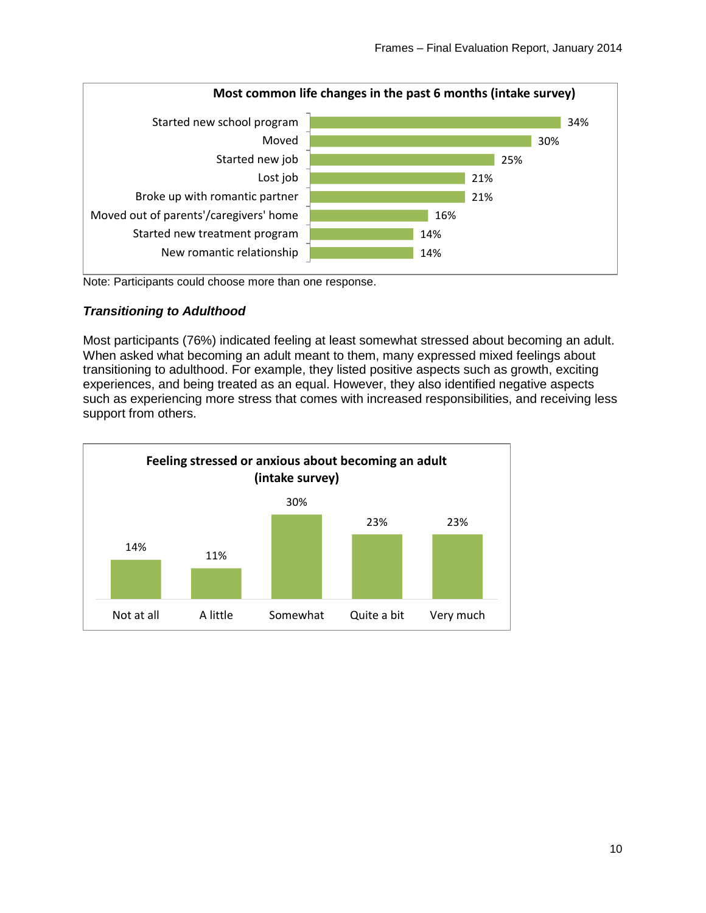

Note: Participants could choose more than one response.

## *Transitioning to Adulthood*

Most participants (76%) indicated feeling at least somewhat stressed about becoming an adult. When asked what becoming an adult meant to them, many expressed mixed feelings about transitioning to adulthood. For example, they listed positive aspects such as growth, exciting experiences, and being treated as an equal. However, they also identified negative aspects such as experiencing more stress that comes with increased responsibilities, and receiving less support from others.

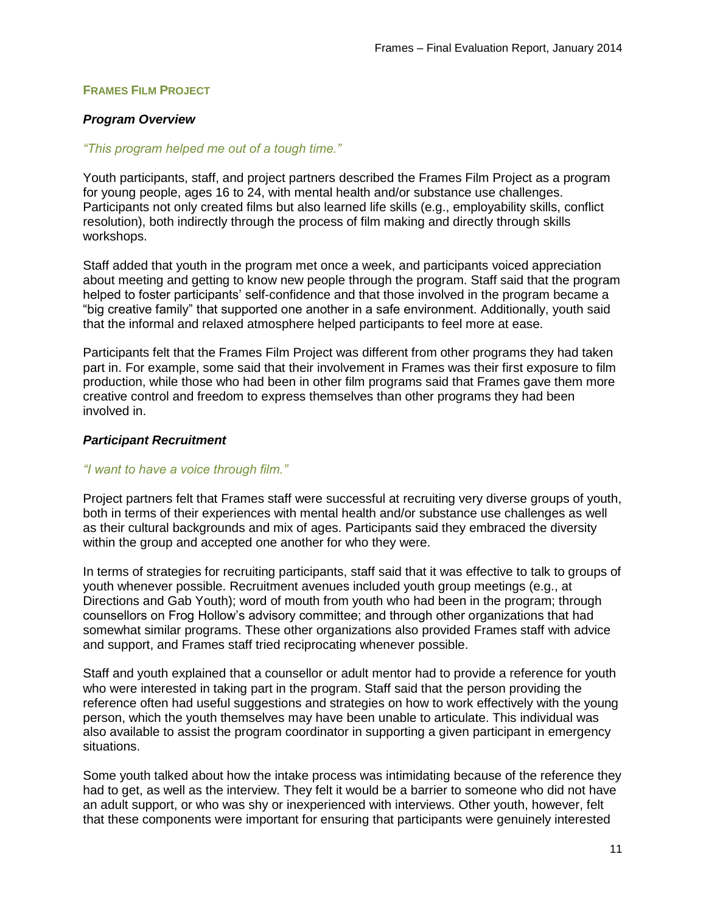### **FRAMES FILM PROJECT**

### *Program Overview*

#### *"This program helped me out of a tough time."*

Youth participants, staff, and project partners described the Frames Film Project as a program for young people, ages 16 to 24, with mental health and/or substance use challenges. Participants not only created films but also learned life skills (e.g., employability skills, conflict resolution), both indirectly through the process of film making and directly through skills workshops.

Staff added that youth in the program met once a week, and participants voiced appreciation about meeting and getting to know new people through the program. Staff said that the program helped to foster participants' self-confidence and that those involved in the program became a "big creative family" that supported one another in a safe environment. Additionally, youth said that the informal and relaxed atmosphere helped participants to feel more at ease.

Participants felt that the Frames Film Project was different from other programs they had taken part in. For example, some said that their involvement in Frames was their first exposure to film production, while those who had been in other film programs said that Frames gave them more creative control and freedom to express themselves than other programs they had been involved in.

### *Participant Recruitment*

#### *"I want to have a voice through film."*

Project partners felt that Frames staff were successful at recruiting very diverse groups of youth, both in terms of their experiences with mental health and/or substance use challenges as well as their cultural backgrounds and mix of ages. Participants said they embraced the diversity within the group and accepted one another for who they were.

In terms of strategies for recruiting participants, staff said that it was effective to talk to groups of youth whenever possible. Recruitment avenues included youth group meetings (e.g., at Directions and Gab Youth); word of mouth from youth who had been in the program; through counsellors on Frog Hollow's advisory committee; and through other organizations that had somewhat similar programs. These other organizations also provided Frames staff with advice and support, and Frames staff tried reciprocating whenever possible.

Staff and youth explained that a counsellor or adult mentor had to provide a reference for youth who were interested in taking part in the program. Staff said that the person providing the reference often had useful suggestions and strategies on how to work effectively with the young person, which the youth themselves may have been unable to articulate. This individual was also available to assist the program coordinator in supporting a given participant in emergency situations.

Some youth talked about how the intake process was intimidating because of the reference they had to get, as well as the interview. They felt it would be a barrier to someone who did not have an adult support, or who was shy or inexperienced with interviews. Other youth, however, felt that these components were important for ensuring that participants were genuinely interested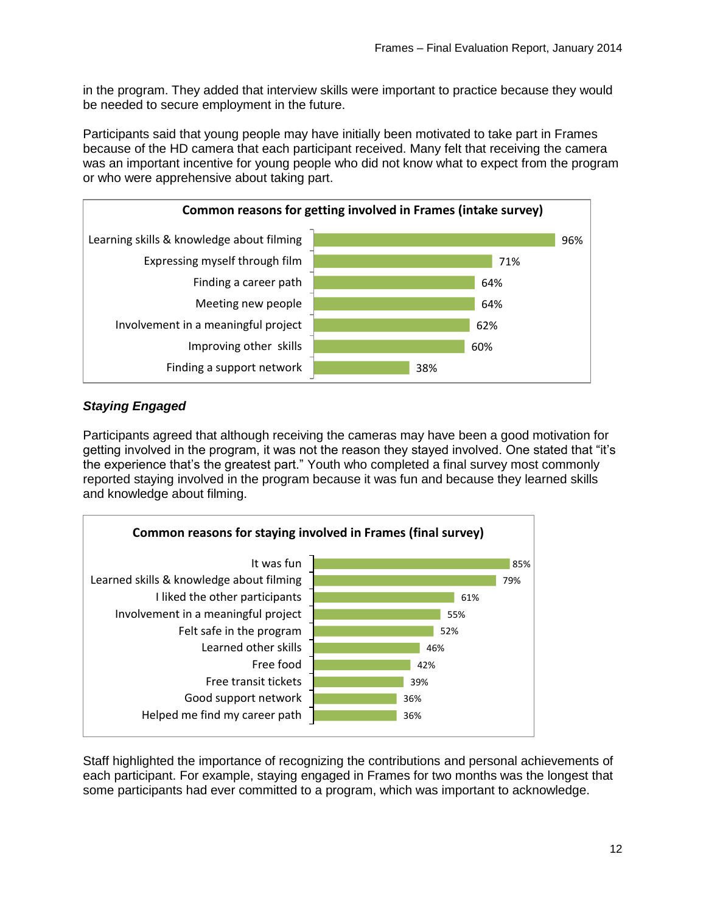in the program. They added that interview skills were important to practice because they would be needed to secure employment in the future.

Participants said that young people may have initially been motivated to take part in Frames because of the HD camera that each participant received. Many felt that receiving the camera was an important incentive for young people who did not know what to expect from the program or who were apprehensive about taking part.



# *Staying Engaged*

Participants agreed that although receiving the cameras may have been a good motivation for getting involved in the program, it was not the reason they stayed involved. One stated that "it's the experience that's the greatest part." Youth who completed a final survey most commonly reported staying involved in the program because it was fun and because they learned skills and knowledge about filming.



Staff highlighted the importance of recognizing the contributions and personal achievements of each participant. For example, staying engaged in Frames for two months was the longest that some participants had ever committed to a program, which was important to acknowledge.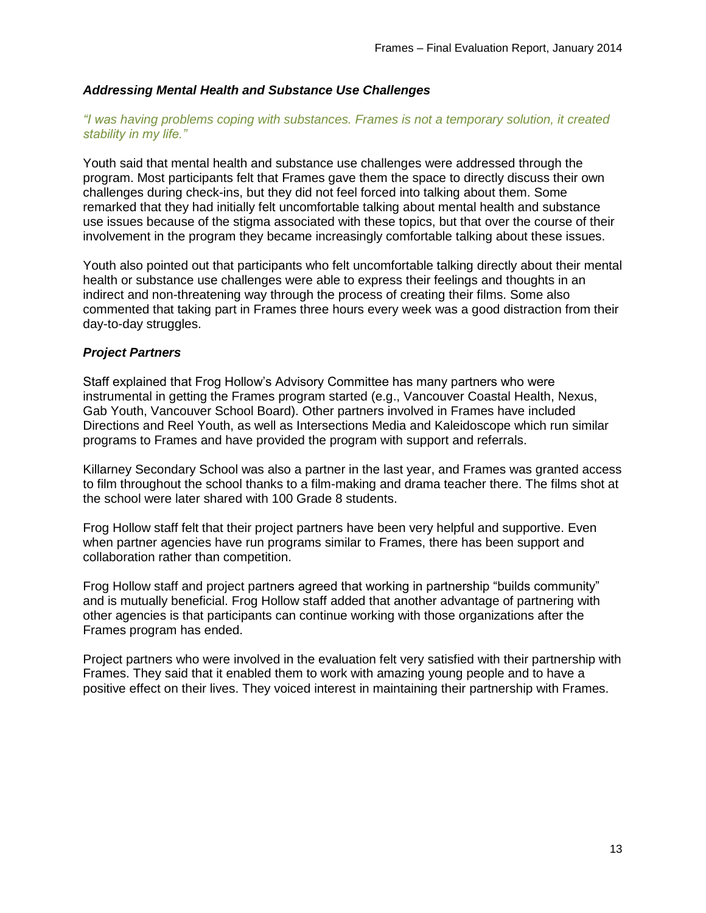### *Addressing Mental Health and Substance Use Challenges*

#### *"I was having problems coping with substances. Frames is not a temporary solution, it created stability in my life."*

Youth said that mental health and substance use challenges were addressed through the program. Most participants felt that Frames gave them the space to directly discuss their own challenges during check-ins, but they did not feel forced into talking about them. Some remarked that they had initially felt uncomfortable talking about mental health and substance use issues because of the stigma associated with these topics, but that over the course of their involvement in the program they became increasingly comfortable talking about these issues.

Youth also pointed out that participants who felt uncomfortable talking directly about their mental health or substance use challenges were able to express their feelings and thoughts in an indirect and non-threatening way through the process of creating their films. Some also commented that taking part in Frames three hours every week was a good distraction from their day-to-day struggles.

### *Project Partners*

Staff explained that Frog Hollow's Advisory Committee has many partners who were instrumental in getting the Frames program started (e.g., Vancouver Coastal Health, Nexus, Gab Youth, Vancouver School Board). Other partners involved in Frames have included Directions and Reel Youth, as well as Intersections Media and Kaleidoscope which run similar programs to Frames and have provided the program with support and referrals.

Killarney Secondary School was also a partner in the last year, and Frames was granted access to film throughout the school thanks to a film-making and drama teacher there. The films shot at the school were later shared with 100 Grade 8 students.

Frog Hollow staff felt that their project partners have been very helpful and supportive. Even when partner agencies have run programs similar to Frames, there has been support and collaboration rather than competition.

Frog Hollow staff and project partners agreed that working in partnership "builds community" and is mutually beneficial. Frog Hollow staff added that another advantage of partnering with other agencies is that participants can continue working with those organizations after the Frames program has ended.

Project partners who were involved in the evaluation felt very satisfied with their partnership with Frames. They said that it enabled them to work with amazing young people and to have a positive effect on their lives. They voiced interest in maintaining their partnership with Frames.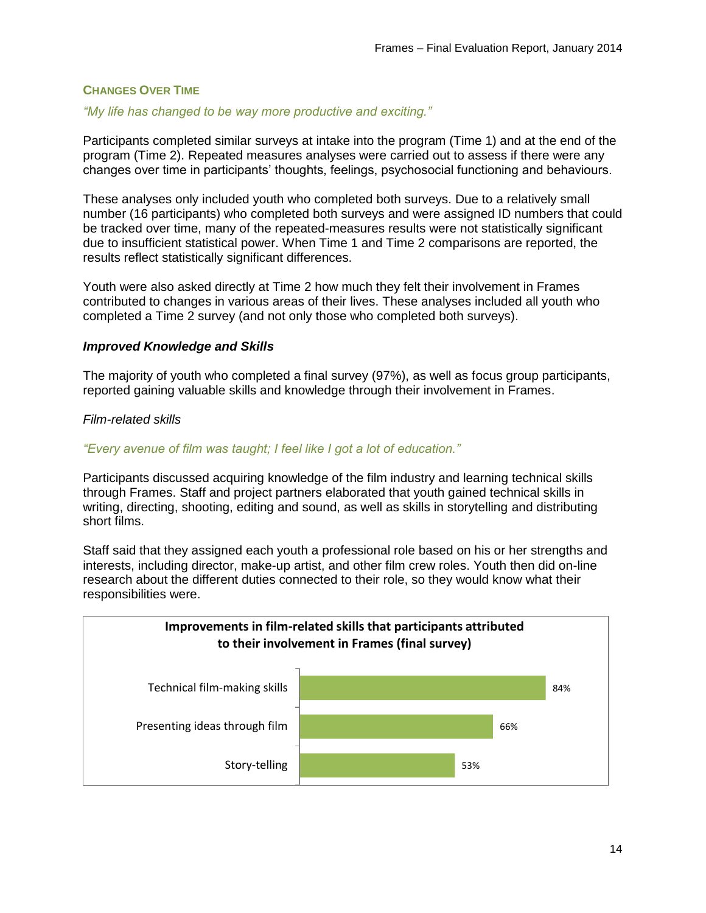## **CHANGES OVER TIME**

## *"My life has changed to be way more productive and exciting."*

Participants completed similar surveys at intake into the program (Time 1) and at the end of the program (Time 2). Repeated measures analyses were carried out to assess if there were any changes over time in participants' thoughts, feelings, psychosocial functioning and behaviours.

These analyses only included youth who completed both surveys. Due to a relatively small number (16 participants) who completed both surveys and were assigned ID numbers that could be tracked over time, many of the repeated-measures results were not statistically significant due to insufficient statistical power. When Time 1 and Time 2 comparisons are reported, the results reflect statistically significant differences.

Youth were also asked directly at Time 2 how much they felt their involvement in Frames contributed to changes in various areas of their lives. These analyses included all youth who completed a Time 2 survey (and not only those who completed both surveys).

### *Improved Knowledge and Skills*

The majority of youth who completed a final survey (97%), as well as focus group participants, reported gaining valuable skills and knowledge through their involvement in Frames.

#### *Film-related skills*

#### *"Every avenue of film was taught; I feel like I got a lot of education."*

Participants discussed acquiring knowledge of the film industry and learning technical skills through Frames. Staff and project partners elaborated that youth gained technical skills in writing, directing, shooting, editing and sound, as well as skills in storytelling and distributing short films.

Staff said that they assigned each youth a professional role based on his or her strengths and interests, including director, make-up artist, and other film crew roles. Youth then did on-line research about the different duties connected to their role, so they would know what their responsibilities were.

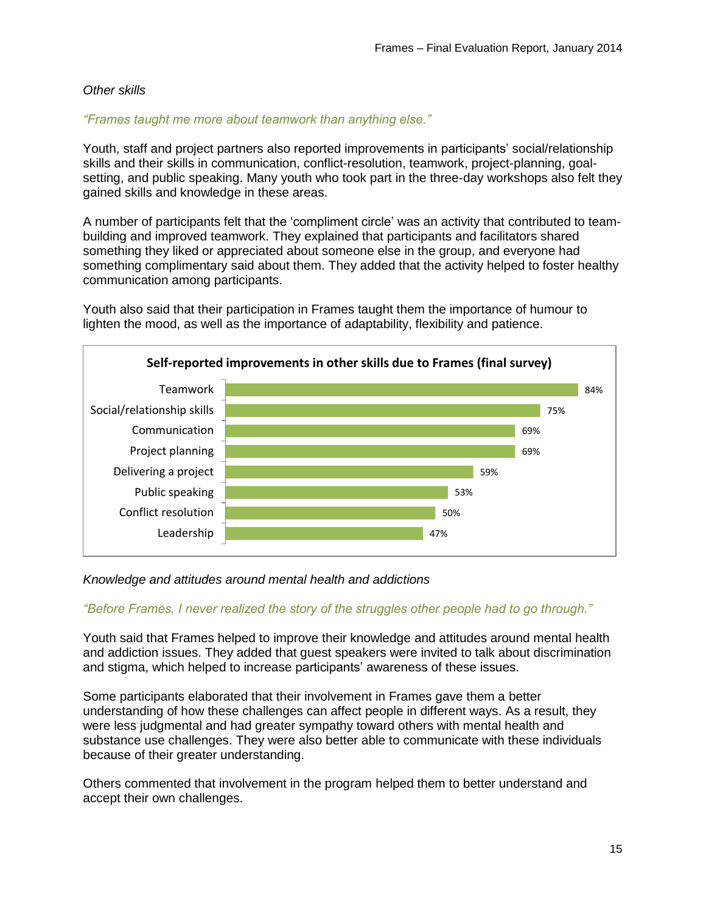## *Other skills*

#### *"Frames taught me more about teamwork than anything else."*

Youth, staff and project partners also reported improvements in participants' social/relationship skills and their skills in communication, conflict-resolution, teamwork, project-planning, goalsetting, and public speaking. Many youth who took part in the three-day workshops also felt they gained skills and knowledge in these areas.

A number of participants felt that the 'compliment circle' was an activity that contributed to teambuilding and improved teamwork. They explained that participants and facilitators shared something they liked or appreciated about someone else in the group, and everyone had something complimentary said about them. They added that the activity helped to foster healthy communication among participants.

Youth also said that their participation in Frames taught them the importance of humour to lighten the mood, as well as the importance of adaptability, flexibility and patience.



#### *Knowledge and attitudes around mental health and addictions*

#### *"Before Frames, I never realized the story of the struggles other people had to go through."*

Youth said that Frames helped to improve their knowledge and attitudes around mental health and addiction issues. They added that guest speakers were invited to talk about discrimination and stigma, which helped to increase participants' awareness of these issues.

Some participants elaborated that their involvement in Frames gave them a better understanding of how these challenges can affect people in different ways. As a result, they were less judgmental and had greater sympathy toward others with mental health and substance use challenges. They were also better able to communicate with these individuals because of their greater understanding.

Others commented that involvement in the program helped them to better understand and accept their own challenges.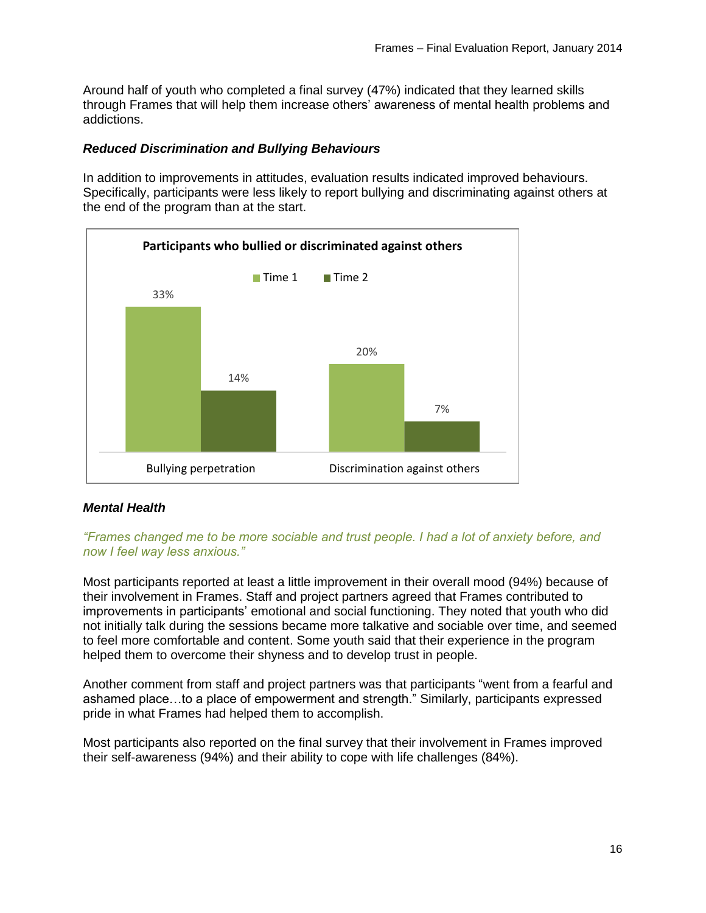Around half of youth who completed a final survey (47%) indicated that they learned skills through Frames that will help them increase others' awareness of mental health problems and addictions.

## *Reduced Discrimination and Bullying Behaviours*

In addition to improvements in attitudes, evaluation results indicated improved behaviours. Specifically, participants were less likely to report bullying and discriminating against others at the end of the program than at the start.



## *Mental Health*

*"Frames changed me to be more sociable and trust people. I had a lot of anxiety before, and now I feel way less anxious."* 

Most participants reported at least a little improvement in their overall mood (94%) because of their involvement in Frames. Staff and project partners agreed that Frames contributed to improvements in participants' emotional and social functioning. They noted that youth who did not initially talk during the sessions became more talkative and sociable over time, and seemed to feel more comfortable and content. Some youth said that their experience in the program helped them to overcome their shyness and to develop trust in people.

Another comment from staff and project partners was that participants "went from a fearful and ashamed place…to a place of empowerment and strength." Similarly, participants expressed pride in what Frames had helped them to accomplish.

Most participants also reported on the final survey that their involvement in Frames improved their self-awareness (94%) and their ability to cope with life challenges (84%).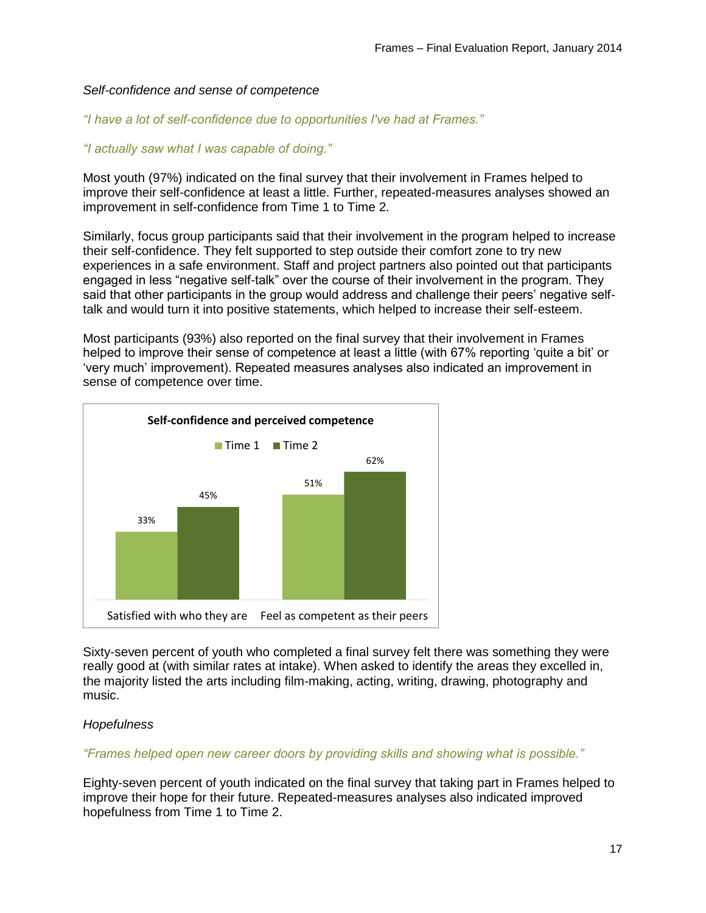#### *Self-confidence and sense of competence*

*"I have a lot of self-confidence due to opportunities I've had at Frames."*

## *"I actually saw what I was capable of doing."*

Most youth (97%) indicated on the final survey that their involvement in Frames helped to improve their self-confidence at least a little. Further, repeated-measures analyses showed an improvement in self-confidence from Time 1 to Time 2.

Similarly, focus group participants said that their involvement in the program helped to increase their self-confidence. They felt supported to step outside their comfort zone to try new experiences in a safe environment. Staff and project partners also pointed out that participants engaged in less "negative self-talk" over the course of their involvement in the program. They said that other participants in the group would address and challenge their peers' negative selftalk and would turn it into positive statements, which helped to increase their self-esteem.

Most participants (93%) also reported on the final survey that their involvement in Frames helped to improve their sense of competence at least a little (with 67% reporting 'quite a bit' or 'very much' improvement). Repeated measures analyses also indicated an improvement in sense of competence over time.



Sixty-seven percent of youth who completed a final survey felt there was something they were really good at (with similar rates at intake). When asked to identify the areas they excelled in, the majority listed the arts including film-making, acting, writing, drawing, photography and music.

## *Hopefulness*

#### *"Frames helped open new career doors by providing skills and showing what is possible."*

Eighty-seven percent of youth indicated on the final survey that taking part in Frames helped to improve their hope for their future. Repeated-measures analyses also indicated improved hopefulness from Time 1 to Time 2.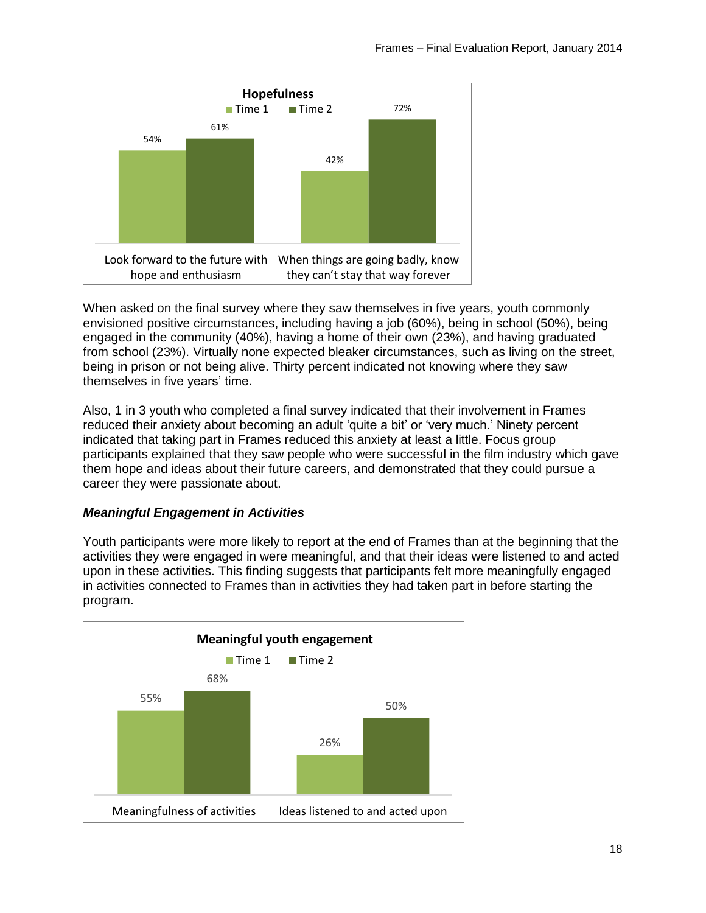

When asked on the final survey where they saw themselves in five years, youth commonly envisioned positive circumstances, including having a job (60%), being in school (50%), being engaged in the community (40%), having a home of their own (23%), and having graduated from school (23%). Virtually none expected bleaker circumstances, such as living on the street, being in prison or not being alive. Thirty percent indicated not knowing where they saw themselves in five years' time.

Also, 1 in 3 youth who completed a final survey indicated that their involvement in Frames reduced their anxiety about becoming an adult 'quite a bit' or 'very much.' Ninety percent indicated that taking part in Frames reduced this anxiety at least a little. Focus group participants explained that they saw people who were successful in the film industry which gave them hope and ideas about their future careers, and demonstrated that they could pursue a career they were passionate about.

## *Meaningful Engagement in Activities*

Youth participants were more likely to report at the end of Frames than at the beginning that the activities they were engaged in were meaningful, and that their ideas were listened to and acted upon in these activities. This finding suggests that participants felt more meaningfully engaged in activities connected to Frames than in activities they had taken part in before starting the program.

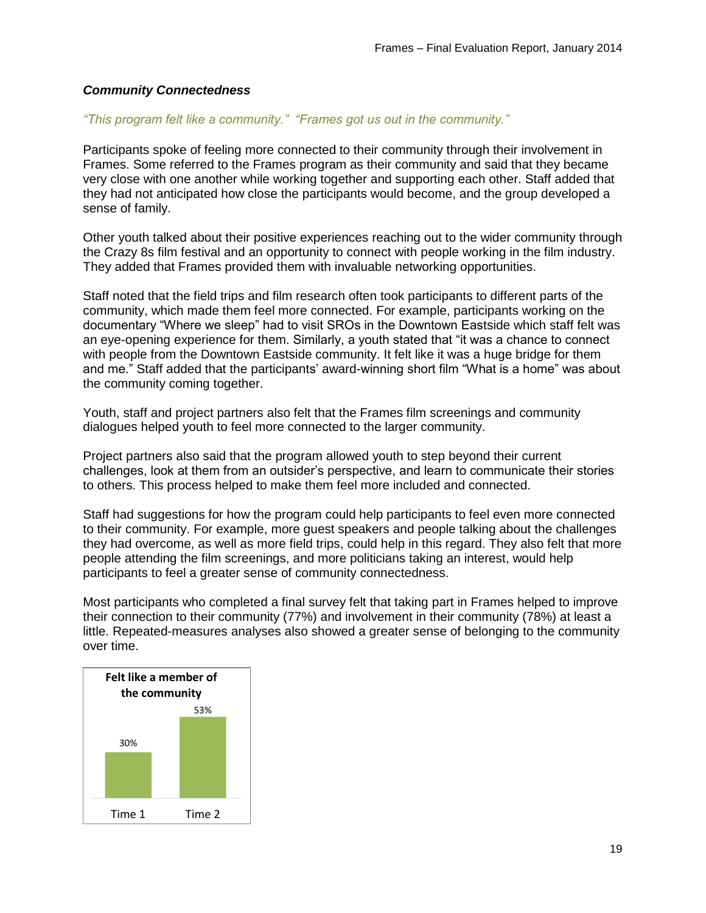### *Community Connectedness*

#### *"This program felt like a community." "Frames got us out in the community."*

Participants spoke of feeling more connected to their community through their involvement in Frames. Some referred to the Frames program as their community and said that they became very close with one another while working together and supporting each other. Staff added that they had not anticipated how close the participants would become, and the group developed a sense of family.

Other youth talked about their positive experiences reaching out to the wider community through the Crazy 8s film festival and an opportunity to connect with people working in the film industry. They added that Frames provided them with invaluable networking opportunities.

Staff noted that the field trips and film research often took participants to different parts of the community, which made them feel more connected. For example, participants working on the documentary "Where we sleep" had to visit SROs in the Downtown Eastside which staff felt was an eye-opening experience for them. Similarly, a youth stated that "it was a chance to connect with people from the Downtown Eastside community. It felt like it was a huge bridge for them and me." Staff added that the participants' award-winning short film "What is a home" was about the community coming together.

Youth, staff and project partners also felt that the Frames film screenings and community dialogues helped youth to feel more connected to the larger community.

Project partners also said that the program allowed youth to step beyond their current challenges, look at them from an outsider's perspective, and learn to communicate their stories to others. This process helped to make them feel more included and connected.

Staff had suggestions for how the program could help participants to feel even more connected to their community. For example, more guest speakers and people talking about the challenges they had overcome, as well as more field trips, could help in this regard. They also felt that more people attending the film screenings, and more politicians taking an interest, would help participants to feel a greater sense of community connectedness.

Most participants who completed a final survey felt that taking part in Frames helped to improve their connection to their community (77%) and involvement in their community (78%) at least a little. Repeated-measures analyses also showed a greater sense of belonging to the community over time.

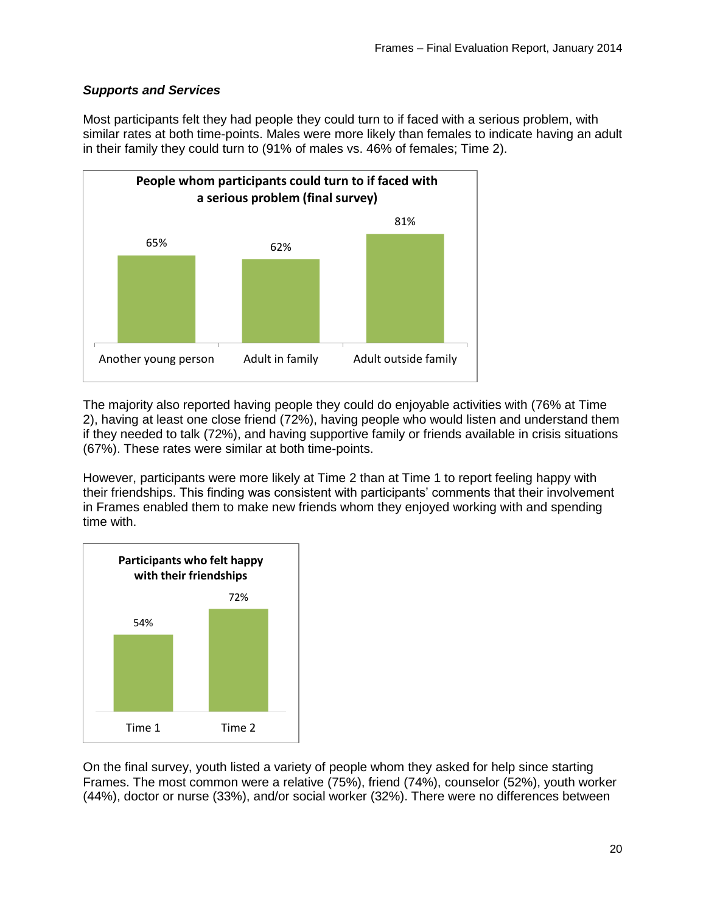## *Supports and Services*

Most participants felt they had people they could turn to if faced with a serious problem, with similar rates at both time-points. Males were more likely than females to indicate having an adult in their family they could turn to (91% of males vs. 46% of females; Time 2).



The majority also reported having people they could do enjoyable activities with (76% at Time 2), having at least one close friend (72%), having people who would listen and understand them if they needed to talk (72%), and having supportive family or friends available in crisis situations (67%). These rates were similar at both time-points.

However, participants were more likely at Time 2 than at Time 1 to report feeling happy with their friendships. This finding was consistent with participants' comments that their involvement in Frames enabled them to make new friends whom they enjoyed working with and spending time with.



On the final survey, youth listed a variety of people whom they asked for help since starting Frames. The most common were a relative (75%), friend (74%), counselor (52%), youth worker (44%), doctor or nurse (33%), and/or social worker (32%). There were no differences between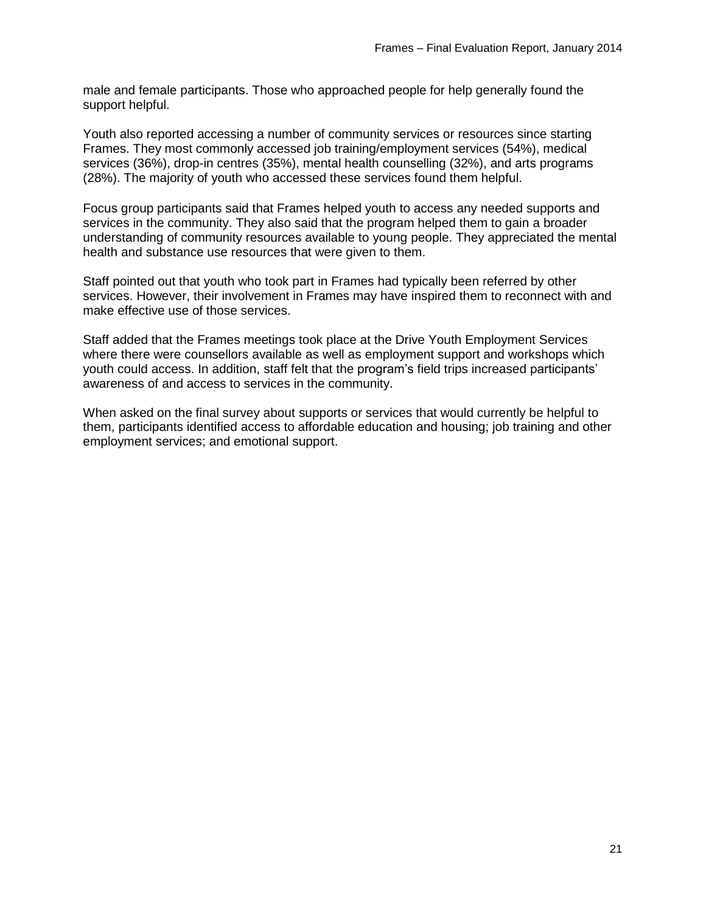male and female participants. Those who approached people for help generally found the support helpful.

Youth also reported accessing a number of community services or resources since starting Frames. They most commonly accessed job training/employment services (54%), medical services (36%), drop-in centres (35%), mental health counselling (32%), and arts programs (28%). The majority of youth who accessed these services found them helpful.

Focus group participants said that Frames helped youth to access any needed supports and services in the community. They also said that the program helped them to gain a broader understanding of community resources available to young people. They appreciated the mental health and substance use resources that were given to them.

Staff pointed out that youth who took part in Frames had typically been referred by other services. However, their involvement in Frames may have inspired them to reconnect with and make effective use of those services.

Staff added that the Frames meetings took place at the Drive Youth Employment Services where there were counsellors available as well as employment support and workshops which youth could access. In addition, staff felt that the program's field trips increased participants' awareness of and access to services in the community.

When asked on the final survey about supports or services that would currently be helpful to them, participants identified access to affordable education and housing; job training and other employment services; and emotional support.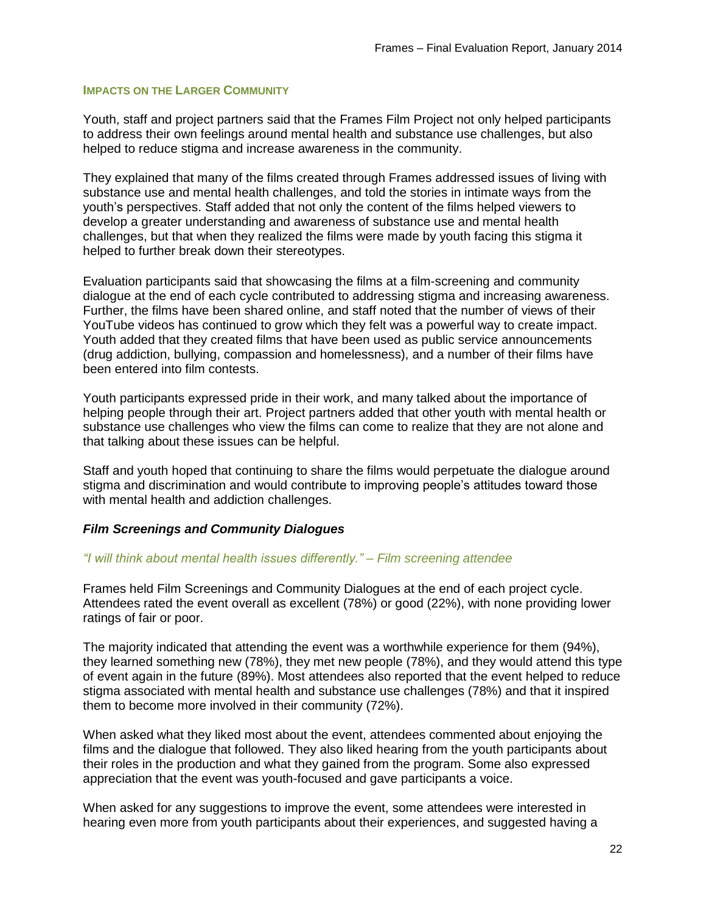#### **IMPACTS ON THE LARGER COMMUNITY**

Youth, staff and project partners said that the Frames Film Project not only helped participants to address their own feelings around mental health and substance use challenges, but also helped to reduce stigma and increase awareness in the community.

They explained that many of the films created through Frames addressed issues of living with substance use and mental health challenges, and told the stories in intimate ways from the youth's perspectives. Staff added that not only the content of the films helped viewers to develop a greater understanding and awareness of substance use and mental health challenges, but that when they realized the films were made by youth facing this stigma it helped to further break down their stereotypes.

Evaluation participants said that showcasing the films at a film-screening and community dialogue at the end of each cycle contributed to addressing stigma and increasing awareness. Further, the films have been shared online, and staff noted that the number of views of their YouTube videos has continued to grow which they felt was a powerful way to create impact. Youth added that they created films that have been used as public service announcements (drug addiction, bullying, compassion and homelessness), and a number of their films have been entered into film contests.

Youth participants expressed pride in their work, and many talked about the importance of helping people through their art. Project partners added that other youth with mental health or substance use challenges who view the films can come to realize that they are not alone and that talking about these issues can be helpful.

Staff and youth hoped that continuing to share the films would perpetuate the dialogue around stigma and discrimination and would contribute to improving people's attitudes toward those with mental health and addiction challenges.

#### *Film Screenings and Community Dialogues*

#### *"I will think about mental health issues differently." – Film screening attendee*

Frames held Film Screenings and Community Dialogues at the end of each project cycle. Attendees rated the event overall as excellent (78%) or good (22%), with none providing lower ratings of fair or poor.

The majority indicated that attending the event was a worthwhile experience for them (94%), they learned something new (78%), they met new people (78%), and they would attend this type of event again in the future (89%). Most attendees also reported that the event helped to reduce stigma associated with mental health and substance use challenges (78%) and that it inspired them to become more involved in their community (72%).

When asked what they liked most about the event, attendees commented about enjoying the films and the dialogue that followed. They also liked hearing from the youth participants about their roles in the production and what they gained from the program. Some also expressed appreciation that the event was youth-focused and gave participants a voice.

When asked for any suggestions to improve the event, some attendees were interested in hearing even more from youth participants about their experiences, and suggested having a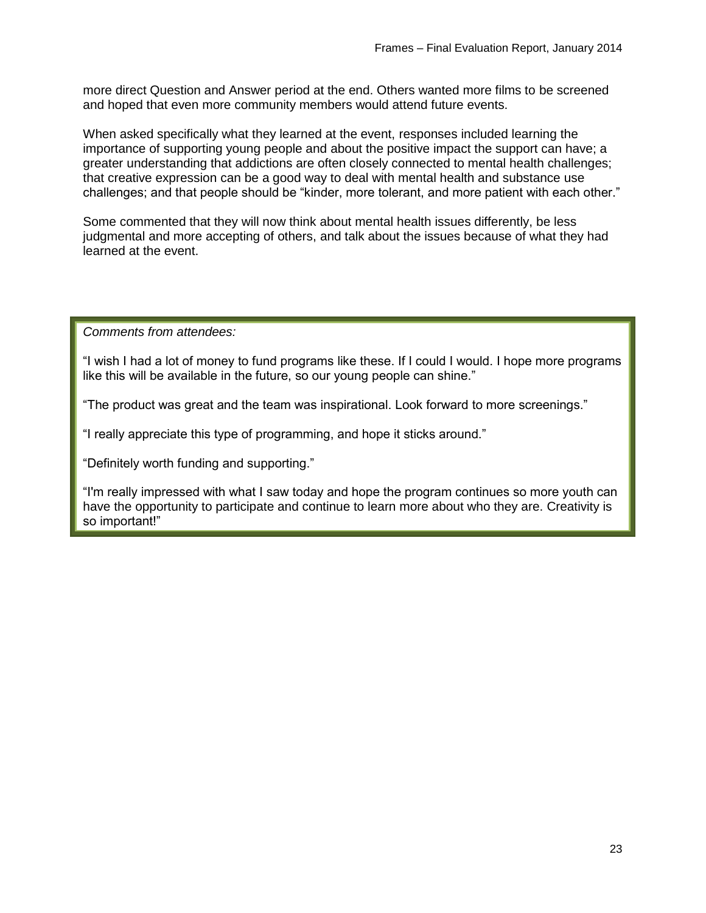more direct Question and Answer period at the end. Others wanted more films to be screened and hoped that even more community members would attend future events.

When asked specifically what they learned at the event, responses included learning the importance of supporting young people and about the positive impact the support can have; a greater understanding that addictions are often closely connected to mental health challenges; that creative expression can be a good way to deal with mental health and substance use challenges; and that people should be "kinder, more tolerant, and more patient with each other."

Some commented that they will now think about mental health issues differently, be less judgmental and more accepting of others, and talk about the issues because of what they had learned at the event.

*Comments from attendees:*

"I wish I had a lot of money to fund programs like these. If I could I would. I hope more programs like this will be available in the future, so our young people can shine."

"The product was great and the team was inspirational. Look forward to more screenings."

"I really appreciate this type of programming, and hope it sticks around."

"Definitely worth funding and supporting."

"I'm really impressed with what I saw today and hope the program continues so more youth can have the opportunity to participate and continue to learn more about who they are. Creativity is so important!"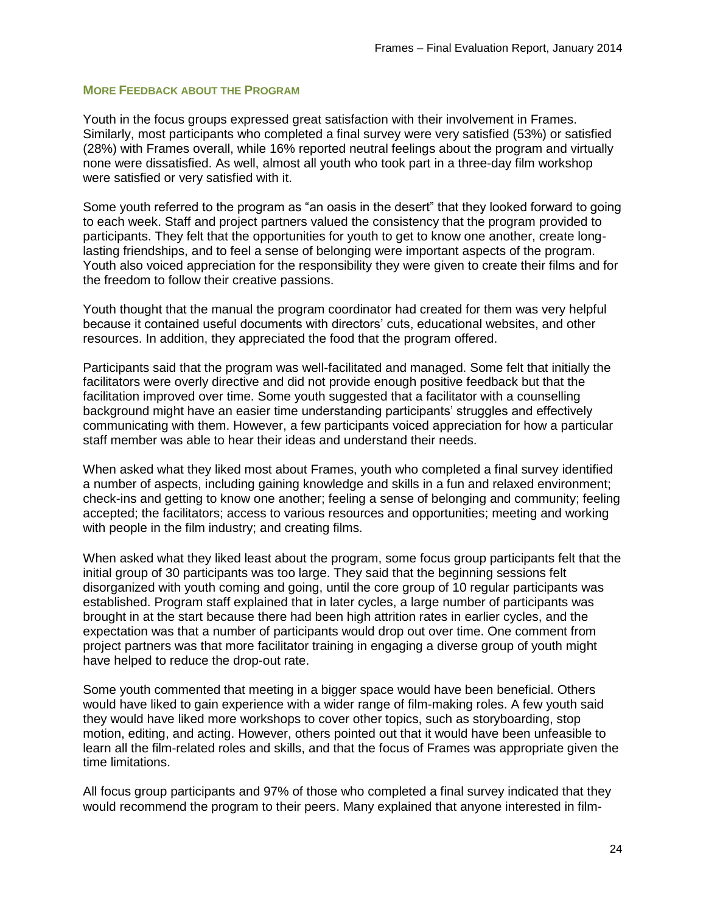### **MORE FEEDBACK ABOUT THE PROGRAM**

Youth in the focus groups expressed great satisfaction with their involvement in Frames. Similarly, most participants who completed a final survey were very satisfied (53%) or satisfied (28%) with Frames overall, while 16% reported neutral feelings about the program and virtually none were dissatisfied. As well, almost all youth who took part in a three-day film workshop were satisfied or very satisfied with it.

Some youth referred to the program as "an oasis in the desert" that they looked forward to going to each week. Staff and project partners valued the consistency that the program provided to participants. They felt that the opportunities for youth to get to know one another, create longlasting friendships, and to feel a sense of belonging were important aspects of the program. Youth also voiced appreciation for the responsibility they were given to create their films and for the freedom to follow their creative passions.

Youth thought that the manual the program coordinator had created for them was very helpful because it contained useful documents with directors' cuts, educational websites, and other resources. In addition, they appreciated the food that the program offered.

Participants said that the program was well-facilitated and managed. Some felt that initially the facilitators were overly directive and did not provide enough positive feedback but that the facilitation improved over time. Some youth suggested that a facilitator with a counselling background might have an easier time understanding participants' struggles and effectively communicating with them. However, a few participants voiced appreciation for how a particular staff member was able to hear their ideas and understand their needs.

When asked what they liked most about Frames, youth who completed a final survey identified a number of aspects, including gaining knowledge and skills in a fun and relaxed environment; check-ins and getting to know one another; feeling a sense of belonging and community; feeling accepted; the facilitators; access to various resources and opportunities; meeting and working with people in the film industry; and creating films.

When asked what they liked least about the program, some focus group participants felt that the initial group of 30 participants was too large. They said that the beginning sessions felt disorganized with youth coming and going, until the core group of 10 regular participants was established. Program staff explained that in later cycles, a large number of participants was brought in at the start because there had been high attrition rates in earlier cycles, and the expectation was that a number of participants would drop out over time. One comment from project partners was that more facilitator training in engaging a diverse group of youth might have helped to reduce the drop-out rate.

Some youth commented that meeting in a bigger space would have been beneficial. Others would have liked to gain experience with a wider range of film-making roles. A few youth said they would have liked more workshops to cover other topics, such as storyboarding, stop motion, editing, and acting. However, others pointed out that it would have been unfeasible to learn all the film-related roles and skills, and that the focus of Frames was appropriate given the time limitations.

All focus group participants and 97% of those who completed a final survey indicated that they would recommend the program to their peers. Many explained that anyone interested in film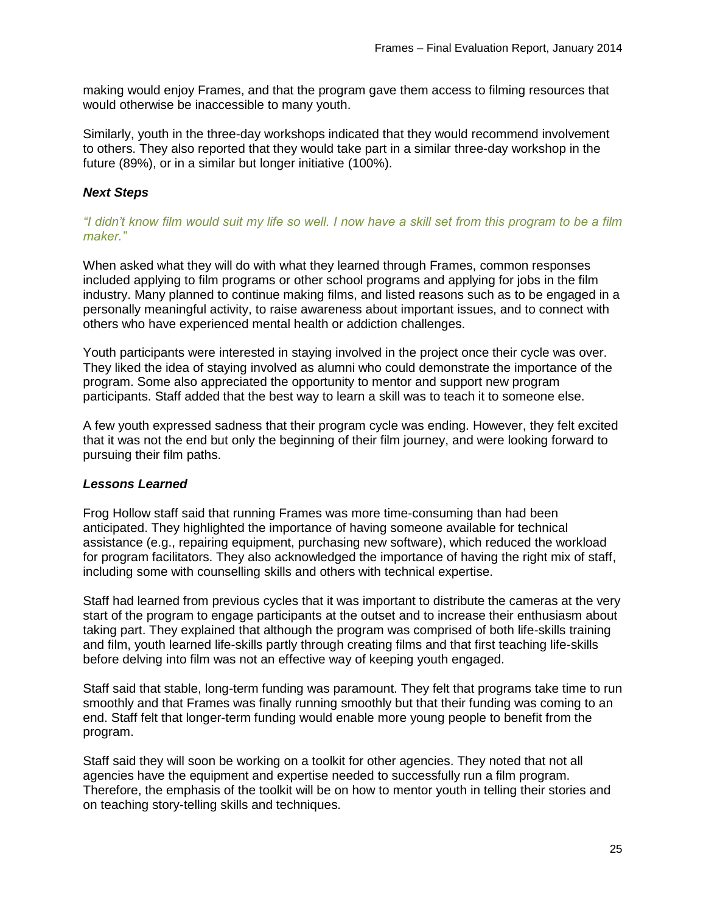making would enjoy Frames, and that the program gave them access to filming resources that would otherwise be inaccessible to many youth.

Similarly, youth in the three-day workshops indicated that they would recommend involvement to others. They also reported that they would take part in a similar three-day workshop in the future (89%), or in a similar but longer initiative (100%).

## *Next Steps*

*"I didn't know film would suit my life so well. I now have a skill set from this program to be a film maker."*

When asked what they will do with what they learned through Frames, common responses included applying to film programs or other school programs and applying for jobs in the film industry. Many planned to continue making films, and listed reasons such as to be engaged in a personally meaningful activity, to raise awareness about important issues, and to connect with others who have experienced mental health or addiction challenges.

Youth participants were interested in staying involved in the project once their cycle was over. They liked the idea of staying involved as alumni who could demonstrate the importance of the program. Some also appreciated the opportunity to mentor and support new program participants. Staff added that the best way to learn a skill was to teach it to someone else.

A few youth expressed sadness that their program cycle was ending. However, they felt excited that it was not the end but only the beginning of their film journey, and were looking forward to pursuing their film paths.

#### *Lessons Learned*

Frog Hollow staff said that running Frames was more time-consuming than had been anticipated. They highlighted the importance of having someone available for technical assistance (e.g., repairing equipment, purchasing new software), which reduced the workload for program facilitators. They also acknowledged the importance of having the right mix of staff, including some with counselling skills and others with technical expertise.

Staff had learned from previous cycles that it was important to distribute the cameras at the very start of the program to engage participants at the outset and to increase their enthusiasm about taking part. They explained that although the program was comprised of both life-skills training and film, youth learned life-skills partly through creating films and that first teaching life-skills before delving into film was not an effective way of keeping youth engaged.

Staff said that stable, long-term funding was paramount. They felt that programs take time to run smoothly and that Frames was finally running smoothly but that their funding was coming to an end. Staff felt that longer-term funding would enable more young people to benefit from the program.

Staff said they will soon be working on a toolkit for other agencies. They noted that not all agencies have the equipment and expertise needed to successfully run a film program. Therefore, the emphasis of the toolkit will be on how to mentor youth in telling their stories and on teaching story-telling skills and techniques.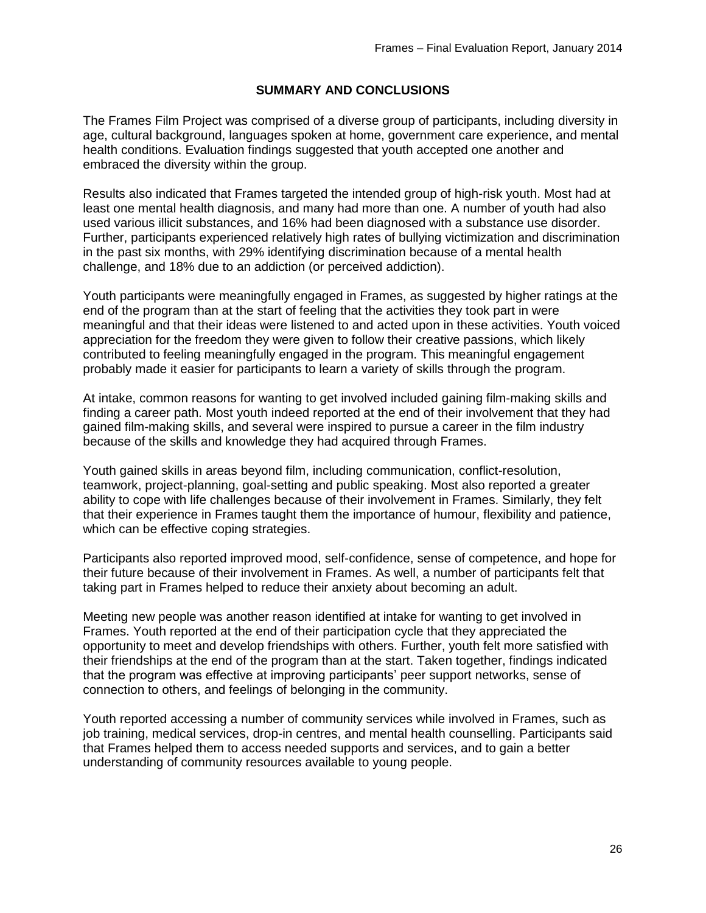## **SUMMARY AND CONCLUSIONS**

The Frames Film Project was comprised of a diverse group of participants, including diversity in age, cultural background, languages spoken at home, government care experience, and mental health conditions. Evaluation findings suggested that youth accepted one another and embraced the diversity within the group.

Results also indicated that Frames targeted the intended group of high-risk youth. Most had at least one mental health diagnosis, and many had more than one. A number of youth had also used various illicit substances, and 16% had been diagnosed with a substance use disorder. Further, participants experienced relatively high rates of bullying victimization and discrimination in the past six months, with 29% identifying discrimination because of a mental health challenge, and 18% due to an addiction (or perceived addiction).

Youth participants were meaningfully engaged in Frames, as suggested by higher ratings at the end of the program than at the start of feeling that the activities they took part in were meaningful and that their ideas were listened to and acted upon in these activities. Youth voiced appreciation for the freedom they were given to follow their creative passions, which likely contributed to feeling meaningfully engaged in the program. This meaningful engagement probably made it easier for participants to learn a variety of skills through the program.

At intake, common reasons for wanting to get involved included gaining film-making skills and finding a career path. Most youth indeed reported at the end of their involvement that they had gained film-making skills, and several were inspired to pursue a career in the film industry because of the skills and knowledge they had acquired through Frames.

Youth gained skills in areas beyond film, including communication, conflict-resolution, teamwork, project-planning, goal-setting and public speaking. Most also reported a greater ability to cope with life challenges because of their involvement in Frames. Similarly, they felt that their experience in Frames taught them the importance of humour, flexibility and patience, which can be effective coping strategies.

Participants also reported improved mood, self-confidence, sense of competence, and hope for their future because of their involvement in Frames. As well, a number of participants felt that taking part in Frames helped to reduce their anxiety about becoming an adult.

Meeting new people was another reason identified at intake for wanting to get involved in Frames. Youth reported at the end of their participation cycle that they appreciated the opportunity to meet and develop friendships with others. Further, youth felt more satisfied with their friendships at the end of the program than at the start. Taken together, findings indicated that the program was effective at improving participants' peer support networks, sense of connection to others, and feelings of belonging in the community.

Youth reported accessing a number of community services while involved in Frames, such as job training, medical services, drop-in centres, and mental health counselling. Participants said that Frames helped them to access needed supports and services, and to gain a better understanding of community resources available to young people.